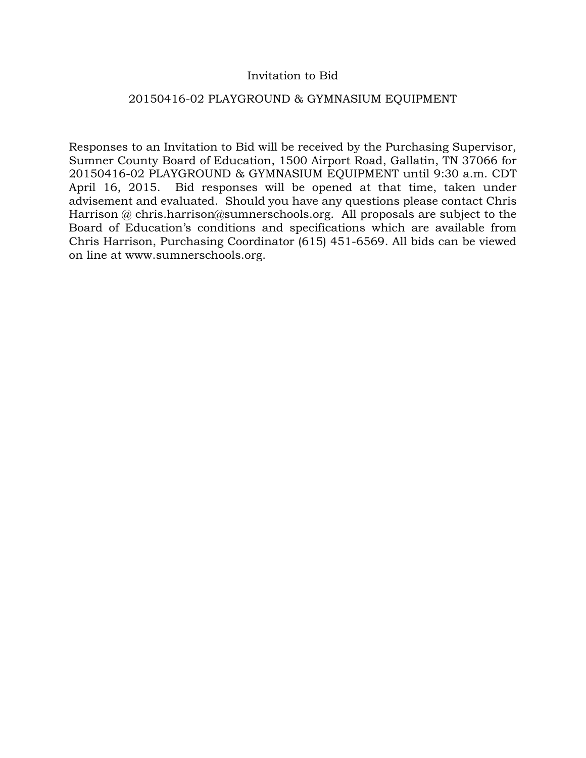# Invitation to Bid

# 20150416-02 PLAYGROUND & GYMNASIUM EQUIPMENT

Responses to an Invitation to Bid will be received by the Purchasing Supervisor, Sumner County Board of Education, 1500 Airport Road, Gallatin, TN 37066 for 20150416-02 PLAYGROUND & GYMNASIUM EQUIPMENT until 9:30 a.m. CDT April 16, 2015. Bid responses will be opened at that time, taken under advisement and evaluated. Should you have any questions please contact Chris Harrison @ chris.harrison@sumnerschools.org. All proposals are subject to the Board of Education's conditions and specifications which are available from Chris Harrison, Purchasing Coordinator (615) 451-6569. All bids can be viewed on line at www.sumnerschools.org.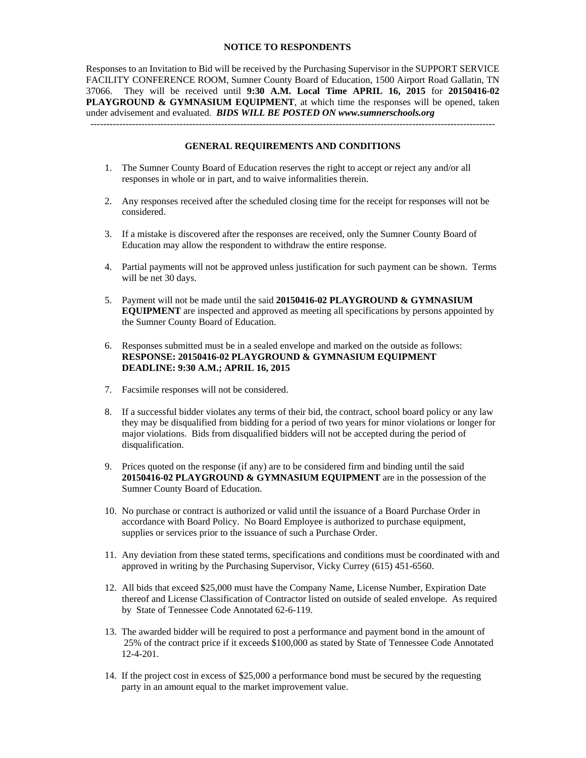#### **NOTICE TO RESPONDENTS**

Responses to an Invitation to Bid will be received by the Purchasing Supervisor in the SUPPORT SERVICE FACILITY CONFERENCE ROOM, Sumner County Board of Education, 1500 Airport Road Gallatin, TN 37066. They will be received until **9:30 A.M. Local Time APRIL 16, 2015** for **20150416-02 PLAYGROUND & GYMNASIUM EQUIPMENT**, at which time the responses will be opened, taken under advisement and evaluated. *BIDS WILL BE POSTED ON www.sumnerschools.org*  -------------------------------------------------------------------------------------------------------------------------------

#### **GENERAL REQUIREMENTS AND CONDITIONS**

- 1. The Sumner County Board of Education reserves the right to accept or reject any and/or all responses in whole or in part, and to waive informalities therein.
- 2. Any responses received after the scheduled closing time for the receipt for responses will not be considered.
- 3. If a mistake is discovered after the responses are received, only the Sumner County Board of Education may allow the respondent to withdraw the entire response.
- 4. Partial payments will not be approved unless justification for such payment can be shown. Terms will be net 30 days.
- 5. Payment will not be made until the said **20150416-02 PLAYGROUND & GYMNASIUM EQUIPMENT** are inspected and approved as meeting all specifications by persons appointed by the Sumner County Board of Education.
- 6. Responses submitted must be in a sealed envelope and marked on the outside as follows: **RESPONSE: 20150416-02 PLAYGROUND & GYMNASIUM EQUIPMENT DEADLINE: 9:30 A.M.; APRIL 16, 2015**
- 7. Facsimile responses will not be considered.
- 8. If a successful bidder violates any terms of their bid, the contract, school board policy or any law they may be disqualified from bidding for a period of two years for minor violations or longer for major violations. Bids from disqualified bidders will not be accepted during the period of disqualification.
- 9. Prices quoted on the response (if any) are to be considered firm and binding until the said **20150416-02 PLAYGROUND & GYMNASIUM EQUIPMENT** are in the possession of the Sumner County Board of Education.
- 10. No purchase or contract is authorized or valid until the issuance of a Board Purchase Order in accordance with Board Policy. No Board Employee is authorized to purchase equipment, supplies or services prior to the issuance of such a Purchase Order.
- 11. Any deviation from these stated terms, specifications and conditions must be coordinated with and approved in writing by the Purchasing Supervisor, Vicky Currey (615) 451-6560.
- 12. All bids that exceed \$25,000 must have the Company Name, License Number, Expiration Date thereof and License Classification of Contractor listed on outside of sealed envelope. As required by State of Tennessee Code Annotated 62-6-119.
- 13. The awarded bidder will be required to post a performance and payment bond in the amount of 25% of the contract price if it exceeds \$100,000 as stated by State of Tennessee Code Annotated 12-4-201.
- 14. If the project cost in excess of \$25,000 a performance bond must be secured by the requesting party in an amount equal to the market improvement value.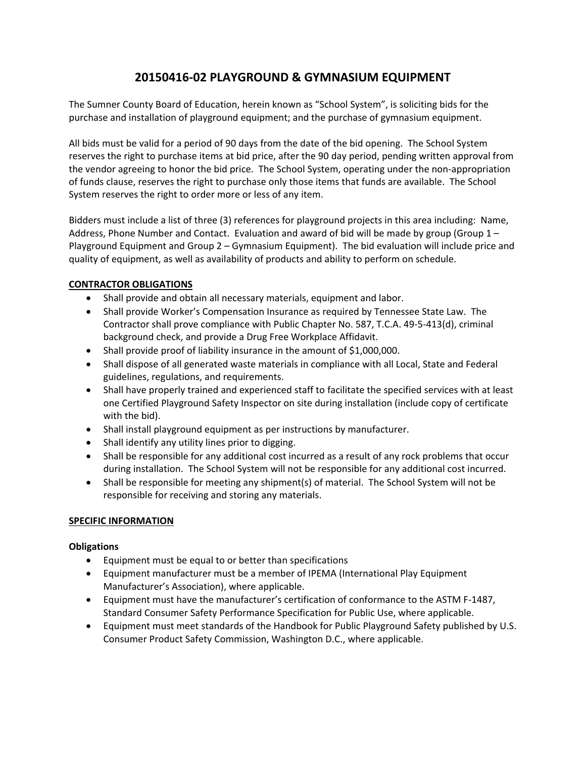# **20150416‐02 PLAYGROUND & GYMNASIUM EQUIPMENT**

The Sumner County Board of Education, herein known as "School System", is soliciting bids for the purchase and installation of playground equipment; and the purchase of gymnasium equipment.

All bids must be valid for a period of 90 days from the date of the bid opening. The School System reserves the right to purchase items at bid price, after the 90 day period, pending written approval from the vendor agreeing to honor the bid price. The School System, operating under the non‐appropriation of funds clause, reserves the right to purchase only those items that funds are available. The School System reserves the right to order more or less of any item.

Bidders must include a list of three (3) references for playground projects in this area including: Name, Address, Phone Number and Contact. Evaluation and award of bid will be made by group (Group  $1 -$ Playground Equipment and Group 2 – Gymnasium Equipment). The bid evaluation will include price and quality of equipment, as well as availability of products and ability to perform on schedule.

## **CONTRACTOR OBLIGATIONS**

- Shall provide and obtain all necessary materials, equipment and labor.
- Shall provide Worker's Compensation Insurance as required by Tennessee State Law. The Contractor shall prove compliance with Public Chapter No. 587, T.C.A. 49‐5‐413(d), criminal background check, and provide a Drug Free Workplace Affidavit.
- Shall provide proof of liability insurance in the amount of \$1,000,000.
- Shall dispose of all generated waste materials in compliance with all Local, State and Federal guidelines, regulations, and requirements.
- Shall have properly trained and experienced staff to facilitate the specified services with at least one Certified Playground Safety Inspector on site during installation (include copy of certificate with the bid).
- Shall install playground equipment as per instructions by manufacturer.
- Shall identify any utility lines prior to digging.
- Shall be responsible for any additional cost incurred as a result of any rock problems that occur during installation. The School System will not be responsible for any additional cost incurred.
- Shall be responsible for meeting any shipment(s) of material. The School System will not be responsible for receiving and storing any materials.

### **SPECIFIC INFORMATION**

### **Obligations**

- Equipment must be equal to or better than specifications
- Equipment manufacturer must be a member of IPEMA (International Play Equipment Manufacturer's Association), where applicable.
- Equipment must have the manufacturer's certification of conformance to the ASTM F‐1487, Standard Consumer Safety Performance Specification for Public Use, where applicable.
- Equipment must meet standards of the Handbook for Public Playground Safety published by U.S. Consumer Product Safety Commission, Washington D.C., where applicable.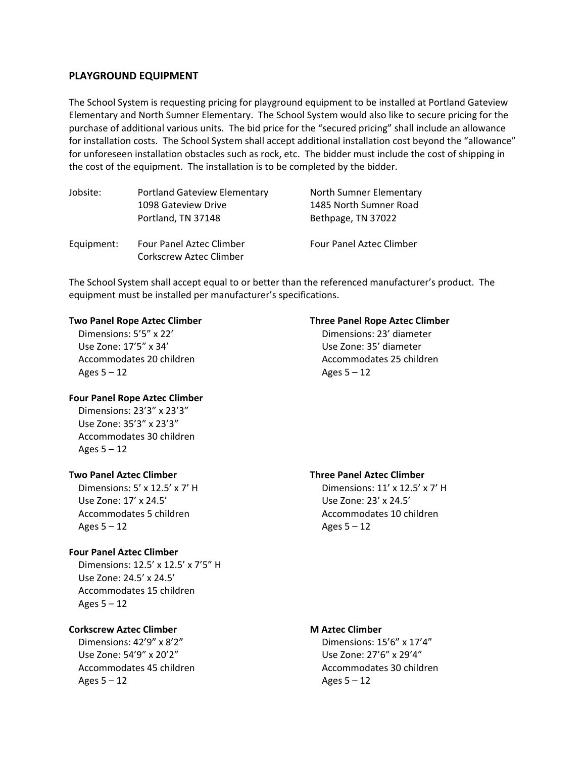### **PLAYGROUND EQUIPMENT**

The School System is requesting pricing for playground equipment to be installed at Portland Gateview Elementary and North Sumner Elementary. The School System would also like to secure pricing for the purchase of additional various units. The bid price for the "secured pricing" shall include an allowance for installation costs. The School System shall accept additional installation cost beyond the "allowance" for unforeseen installation obstacles such as rock, etc. The bidder must include the cost of shipping in the cost of the equipment. The installation is to be completed by the bidder.

| Jobsite:   | <b>Portland Gateview Elementary</b>                               | North Sumner Elementary         |  |  |
|------------|-------------------------------------------------------------------|---------------------------------|--|--|
|            | 1098 Gateview Drive                                               | 1485 North Sumner Road          |  |  |
|            | Portland, TN 37148                                                | Bethpage, TN 37022              |  |  |
| Equipment: | <b>Four Panel Aztec Climber</b><br><b>Corkscrew Aztec Climber</b> | <b>Four Panel Aztec Climber</b> |  |  |

The School System shall accept equal to or better than the referenced manufacturer's product. The equipment must be installed per manufacturer's specifications.

 Use Zone: 17'5" x 34' Use Zone: 35' diameter Ages  $5 - 12$  Ages  $5 - 12$ 

#### **Four Panel Rope Aztec Climber**

 Dimensions: 23'3" x 23'3" Use Zone: 35'3" x 23'3" Accommodates 30 children Ages  $5 - 12$ 

 Use Zone: 17' x 24.5' Use Zone: 23' x 24.5' Accommodates 5 children Accommodates 10 children Ages  $5 - 12$  Ages  $5 - 12$ 

### **Four Panel Aztec Climber**

 Dimensions: 12.5' x 12.5' x 7'5" H Use Zone: 24.5' x 24.5' Accommodates 15 children Ages  $5 - 12$ 

### **Corkscrew Aztec Climber M Aztec Climber**

 Dimensions: 42'9" x 8'2" Dimensions: 15'6" x 17'4" Use Zone: 54'9" x 20'2" Use Zone: 27'6" x 29'4" Ages  $5 - 12$  Ages  $5 - 12$ 

### **Two Panel Rope Aztec Climber Three Panel Rope Aztec Climber**

 Dimensions: 5'5" x 22' Dimensions: 23' diameter Accommodates 20 children Accommodates 25 children

### **Two Panel Aztec Climber Three Panel Aztec Climber**

Dimensions: 5' x 12.5' x 7' H Dimensions: 11' x 12.5' x 7' H

Accommodates 45 children Accommodates 30 children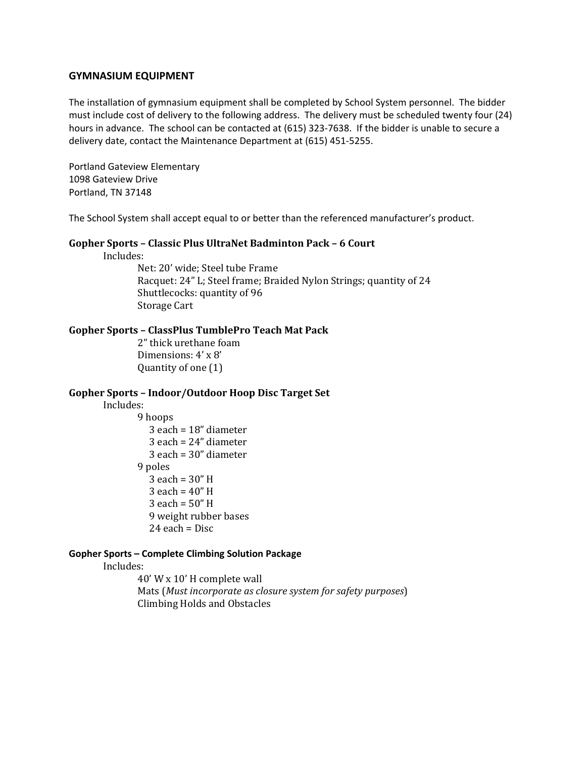#### **GYMNASIUM EQUIPMENT**

The installation of gymnasium equipment shall be completed by School System personnel. The bidder must include cost of delivery to the following address. The delivery must be scheduled twenty four (24) hours in advance. The school can be contacted at (615) 323-7638. If the bidder is unable to secure a delivery date, contact the Maintenance Department at (615) 451‐5255.

Portland Gateview Elementary 1098 Gateview Drive Portland, TN 37148

The School System shall accept equal to or better than the referenced manufacturer's product.

#### **Gopher Sports – Classic Plus UltraNet Badminton Pack – 6 Court**

 Includes: 

Net: 20' wide; Steel tube Frame Racquet: 24" L; Steel frame; Braided Nylon Strings; quantity of 24 Shuttlecocks: quantity of 96 Storage Cart

#### **Gopher Sports – ClassPlus TumblePro Teach Mat Pack**

2" thick urethane foam Dimensions:  $4' \times 8'$ Quantity of one (1)

#### **Gopher Sports – Indoor/Outdoor Hoop Disc Target Set**

### Includes:

9 hoops each =  $18"$  diameter each =  $24"$  diameter each =  $30"$  diameter 9 poles each =  $30"$  H each =  $40"$  H each =  $50"$  H 9 weight rubber bases each =  $Disc$ 

#### **Gopher Sports – Complete Climbing Solution Package**

 Includes: 

40' W x 10' H complete wall Mats (*Must incorporate as closure system for safety purposes*) Climbing Holds and Obstacles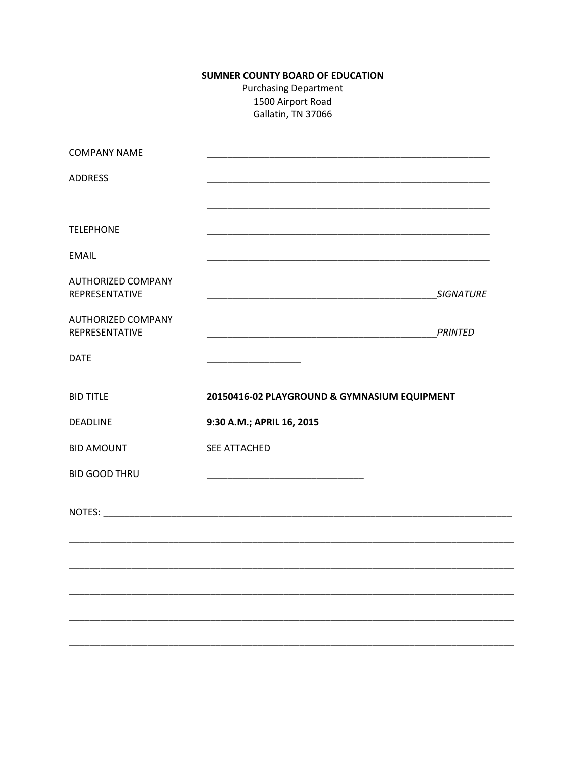# **SUMNER COUNTY BOARD OF EDUCATION**

**Purchasing Department** 1500 Airport Road Gallatin, TN 37066

| <b>COMPANY NAME</b>                         |                                                                   |                  |
|---------------------------------------------|-------------------------------------------------------------------|------------------|
| <b>ADDRESS</b>                              |                                                                   |                  |
|                                             |                                                                   |                  |
| <b>TELEPHONE</b>                            |                                                                   |                  |
| <b>EMAIL</b>                                |                                                                   |                  |
| <b>AUTHORIZED COMPANY</b><br>REPRESENTATIVE | <u> 1989 - Johann John Stone, mars eta biztanleria (h. 1989).</u> | <b>SIGNATURE</b> |
| <b>AUTHORIZED COMPANY</b><br>REPRESENTATIVE |                                                                   | PRINTED          |
| <b>DATE</b>                                 |                                                                   |                  |
| <b>BID TITLE</b>                            | 20150416-02 PLAYGROUND & GYMNASIUM EQUIPMENT                      |                  |
| <b>DEADLINE</b>                             | 9:30 A.M.; APRIL 16, 2015                                         |                  |
| <b>BID AMOUNT</b>                           | SEE ATTACHED                                                      |                  |
| <b>BID GOOD THRU</b>                        |                                                                   |                  |
|                                             |                                                                   |                  |
|                                             |                                                                   |                  |
|                                             |                                                                   |                  |
|                                             |                                                                   |                  |
|                                             |                                                                   |                  |